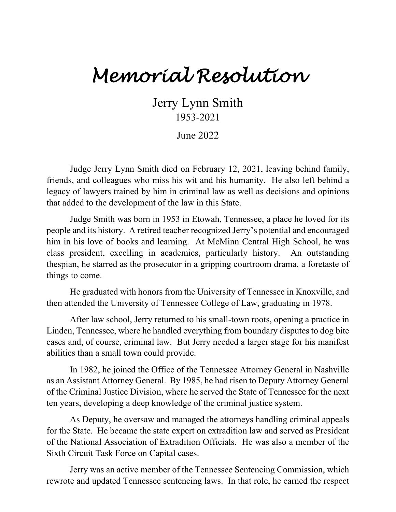## *Memorial Resolution*

Jerry Lynn Smith 1953-2021

June 2022

Judge Jerry Lynn Smith died on February 12, 2021, leaving behind family, friends, and colleagues who miss his wit and his humanity. He also left behind a legacy of lawyers trained by him in criminal law as well as decisions and opinions that added to the development of the law in this State.

Judge Smith was born in 1953 in Etowah, Tennessee, a place he loved for its people and its history. A retired teacher recognized Jerry's potential and encouraged him in his love of books and learning. At McMinn Central High School, he was class president, excelling in academics, particularly history. An outstanding thespian, he starred as the prosecutor in a gripping courtroom drama, a foretaste of things to come.

He graduated with honors from the University of Tennessee in Knoxville, and then attended the University of Tennessee College of Law, graduating in 1978.

After law school, Jerry returned to his small-town roots, opening a practice in Linden, Tennessee, where he handled everything from boundary disputes to dog bite cases and, of course, criminal law. But Jerry needed a larger stage for his manifest abilities than a small town could provide.

In 1982, he joined the Office of the Tennessee Attorney General in Nashville as an Assistant Attorney General. By 1985, he had risen to Deputy Attorney General of the Criminal Justice Division, where he served the State of Tennessee for the next ten years, developing a deep knowledge of the criminal justice system.

As Deputy, he oversaw and managed the attorneys handling criminal appeals for the State. He became the state expert on extradition law and served as President of the National Association of Extradition Officials. He was also a member of the Sixth Circuit Task Force on Capital cases.

Jerry was an active member of the Tennessee Sentencing Commission, which rewrote and updated Tennessee sentencing laws. In that role, he earned the respect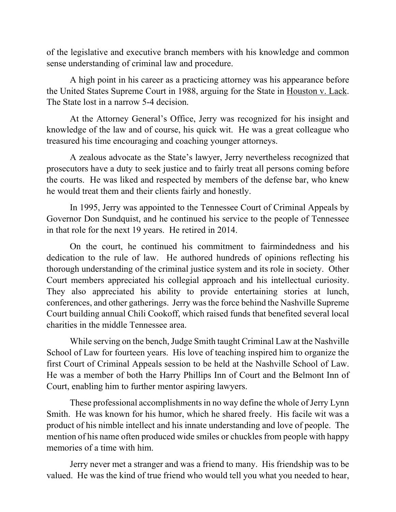of the legislative and executive branch members with his knowledge and common sense understanding of criminal law and procedure.

A high point in his career as a practicing attorney was his appearance before the United States Supreme Court in 1988, arguing for the State in Houston v. Lack. The State lost in a narrow 5-4 decision.

At the Attorney General's Office, Jerry was recognized for his insight and knowledge of the law and of course, his quick wit. He was a great colleague who treasured his time encouraging and coaching younger attorneys.

A zealous advocate as the State's lawyer, Jerry nevertheless recognized that prosecutors have a duty to seek justice and to fairly treat all persons coming before the courts. He was liked and respected by members of the defense bar, who knew he would treat them and their clients fairly and honestly.

In 1995, Jerry was appointed to the Tennessee Court of Criminal Appeals by Governor Don Sundquist, and he continued his service to the people of Tennessee in that role for the next 19 years. He retired in 2014.

On the court, he continued his commitment to fairmindedness and his dedication to the rule of law. He authored hundreds of opinions reflecting his thorough understanding of the criminal justice system and its role in society. Other Court members appreciated his collegial approach and his intellectual curiosity. They also appreciated his ability to provide entertaining stories at lunch, conferences, and other gatherings. Jerry was the force behind the Nashville Supreme Court building annual Chili Cookoff, which raised funds that benefited several local charities in the middle Tennessee area.

While serving on the bench, Judge Smith taught Criminal Law at the Nashville School of Law for fourteen years. His love of teaching inspired him to organize the first Court of Criminal Appeals session to be held at the Nashville School of Law. He was a member of both the Harry Phillips Inn of Court and the Belmont Inn of Court, enabling him to further mentor aspiring lawyers.

These professional accomplishments in no way define the whole of Jerry Lynn Smith. He was known for his humor, which he shared freely. His facile wit was a product of his nimble intellect and his innate understanding and love of people. The mention of his name often produced wide smiles or chuckles from people with happy memories of a time with him.

Jerry never met a stranger and was a friend to many. His friendship was to be valued. He was the kind of true friend who would tell you what you needed to hear,